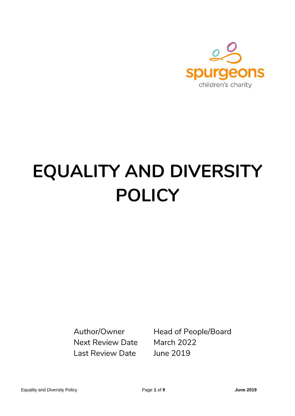

# **EQUALITY AND DIVERSITY POLICY**

Next Review Date March 2022 Last Review Date June 2019

Author/Owner Head of People/Board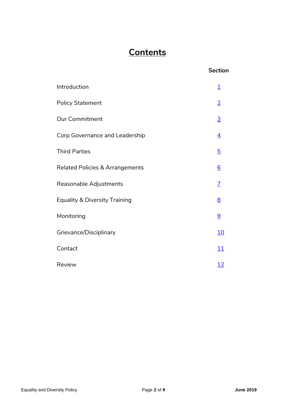## **Contents**

#### **Section**

| Introduction                               | <u>1</u>        |
|--------------------------------------------|-----------------|
| <b>Policy Statement</b>                    |                 |
| <b>Our Commitment</b>                      | $\overline{3}$  |
| Corp Governance and Leadership             | $\overline{4}$  |
| <b>Third Parties</b>                       | $\overline{5}$  |
| <b>Related Policies &amp; Arrangements</b> | $\underline{6}$ |
| Reasonable Adjustments                     | $\overline{L}$  |
| <b>Equality &amp; Diversity Training</b>   |                 |
| Monitoring                                 | 9               |
| Grievance/Disciplinary                     | <u>10</u>       |
| Contact                                    | <u> 11</u>      |
| Review                                     | <u> 12</u>      |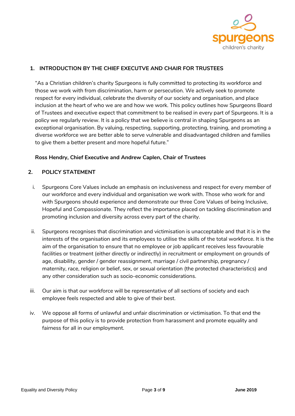

#### <span id="page-2-0"></span>**1. INTRODUCTION BY THE CHIEF EXECUTVE AND CHAIR FOR TRUSTEES**

"As a Christian children's charity Spurgeons is fully committed to protecting its workforce and those we work with from discrimination, harm or persecution. We actively seek to promote respect for every individual, celebrate the diversity of our society and organisation, and place inclusion at the heart of who we are and how we work. This policy outlines how Spurgeons Board of Trustees and executive expect that commitment to be realised in every part of Spurgeons. It is a policy we regularly review. It is a policy that we believe is central in shaping Spurgeons as an exceptional organisation. By valuing, respecting, supporting, protecting, training, and promoting a diverse workforce we are better able to serve vulnerable and disadvantaged children and families to give them a better present and more hopeful future."

#### **Ross Hendry, Chief Executive and Andrew Caplen, Chair of Trustees**

#### <span id="page-2-1"></span>**2. POLICY STATEMENT**

- i. Spurgeons Core Values include an emphasis on inclusiveness and respect for every member of our workforce and every individual and organisation we work with. Those who work for and with Spurgeons should experience and demonstrate our three Core Values of being Inclusive, Hopeful and Compassionate. They reflect the importance placed on tackling discrimination and promoting inclusion and diversity across every part of the charity.
- ii. Spurgeons recognises that discrimination and victimisation is unacceptable and that it is in the interests of the organisation and its employees to utilise the skills of the total workforce. It is the aim of the organisation to ensure that no employee or job applicant receives less favourable facilities or treatment (either directly or indirectly) in recruitment or employment on grounds of age, disability, gender / gender reassignment, marriage / civil partnership, pregnancy / maternity, race, religion or belief, sex, or sexual orientation (the protected characteristics) and any other consideration such as socio-economic considerations.
- iii. Our aim is that our workforce will be representative of all sections of society and each employee feels respected and able to give of their best.
- iv. We oppose all forms of unlawful and unfair discrimination or victimisation. To that end the purpose of this policy is to provide protection from harassment and promote equality and fairness for all in our employment.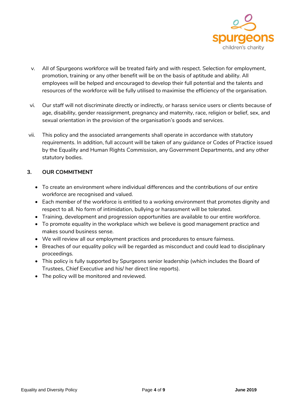

- v. All of Spurgeons workforce will be treated fairly and with respect. Selection for employment, promotion, training or any other benefit will be on the basis of aptitude and ability. All employees will be helped and encouraged to develop their full potential and the talents and resources of the workforce will be fully utilised to maximise the efficiency of the organisation.
- vi. Our staff will not discriminate directly or indirectly, or harass service users or clients because of age, disability, gender reassignment, pregnancy and maternity, race, religion or belief, sex, and sexual orientation in the provision of the organisation's goods and services.
- vii. This policy and the associated arrangements shall operate in accordance with statutory requirements. In addition, full account will be taken of any guidance or Codes of Practice issued by the Equality and Human Rights Commission, any Government Departments, and any other statutory bodies.

#### <span id="page-3-0"></span> **3. OUR COMMITMENT**

- To create an environment where individual differences and the contributions of our entire workforce are recognised and valued.
- Each member of the workforce is entitled to a working environment that promotes dignity and respect to all. No form of intimidation, bullying or harassment will be tolerated.
- Training, development and progression opportunities are available to our entire workforce.
- To promote equality in the workplace which we believe is good management practice and makes sound business sense.
- We will review all our employment practices and procedures to ensure fairness.
- Breaches of our equality policy will be regarded as misconduct and could lead to disciplinary proceedings.
- This policy is fully supported by Spurgeons senior leadership (which includes the Board of Trustees, Chief Executive and his/ her direct line reports).
- The policy will be monitored and reviewed.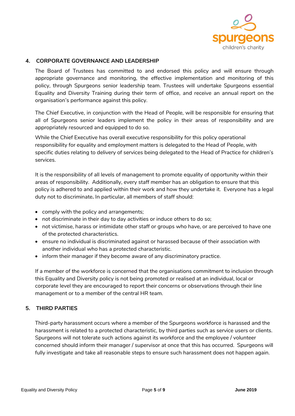

#### <span id="page-4-0"></span> **4. CORPORATE GOVERNANCE AND LEADERSHIP**

The Board of Trustees has committed to and endorsed this policy and will ensure through appropriate governance and monitoring, the effective implementation and monitoring of this policy, through Spurgeons senior leadership team. Trustees will undertake Spurgeons essential Equality and Diversity Training during their term of office, and receive an annual report on the organisation's performance against this policy.

The Chief Executive, in conjunction with the Head of People, will be responsible for ensuring that all of Spurgeons senior leaders implement the policy in their areas of responsibility and are appropriately resourced and equipped to do so.

While the Chief Executive has overall executive responsibility for this policy operational responsibility for equality and employment matters is delegated to the Head of People, with specific duties relating to delivery of services being delegated to the Head of Practice for children's services.

It is the responsibility of all levels of management to promote equality of opportunity within their areas of responsibility. Additionally, every staff member has an obligation to ensure that this policy is adhered to and applied within their work and how they undertake it. Everyone has a legal duty not to discriminate**.** In particular, all members of staff should:

- comply with the policy and arrangements;
- not discriminate in their day to day activities or induce others to do so;
- not victimise, harass or intimidate other staff or groups who have, or are perceived to have one of the protected characteristics.
- ensure no individual is discriminated against or harassed because of their association with another individual who has a protected characteristic.
- inform their manager if they become aware of any discriminatory practice.

If a member of the workforce is concerned that the organisations commitment to inclusion through this Equality and Diversity policy is not being promoted or realised at an individual, local or corporate level they are encouraged to report their concerns or observations through their line management or to a member of the central HR team.

#### <span id="page-4-1"></span> **5. THIRD PARTIES**

Third-party harassment occurs where a member of the Spurgeons workforce is harassed and the harassment is related to a protected characteristic, by third parties such as service users or clients. Spurgeons will not tolerate such actions against its workforce and the employee / volunteer concerned should inform their manager / supervisor at once that this has occurred. Spurgeons will fully investigate and take all reasonable steps to ensure such harassment does not happen again.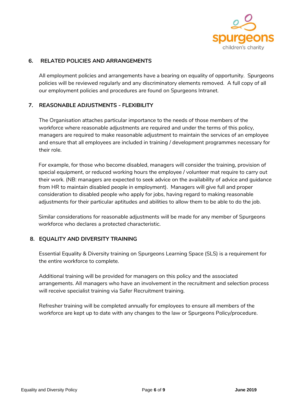

#### <span id="page-5-0"></span> **6. RELATED POLICIES AND ARRANGEMENTS**

All employment policies and arrangements have a bearing on equality of opportunity. Spurgeons policies will be reviewed regularly and any discriminatory elements removed. A full copy of all our employment policies and procedures are found on Spurgeons Intranet.

#### <span id="page-5-1"></span> **7. REASONABLE ADJUSTMENTS - FLEXIBILITY**

The Organisation attaches particular importance to the needs of those members of the workforce where reasonable adjustments are required and under the terms of this policy, managers are required to make reasonable adjustment to maintain the services of an employee and ensure that all employees are included in training / development programmes necessary for their role.

For example, for those who become disabled, managers will consider the training, provision of special equipment, or reduced working hours the employee / volunteer mat require to carry out their work. (NB: managers are expected to seek advice on the availability of advice and guidance from HR to maintain disabled people in employment). Managers will give full and proper consideration to disabled people who apply for jobs, having regard to making reasonable adjustments for their particular aptitudes and abilities to allow them to be able to do the job.

Similar considerations for reasonable adjustments will be made for any member of Spurgeons workforce who declares a protected characteristic.

#### <span id="page-5-2"></span> **8. EQUALITY AND DIVERSITY TRAINING**

Essential Equality & Diversity training on Spurgeons Learning Space (SLS) is a requirement for the entire workforce to complete.

Additional training will be provided for managers on this policy and the associated arrangements. All managers who have an involvement in the recruitment and selection process will receive specialist training via Safer Recruitment training.

Refresher training will be completed annually for employees to ensure all members of the workforce are kept up to date with any changes to the law or Spurgeons Policy/procedure.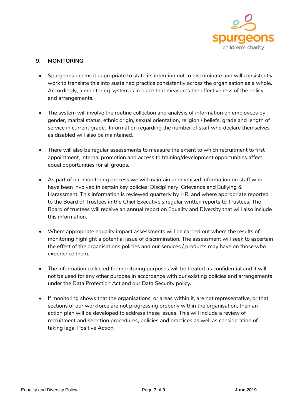

#### <span id="page-6-0"></span> **9. MONITORING**

- Spurgeons deems it appropriate to state its intention not to discriminate and will consistently work to translate this into sustained practice consistently across the organisation as a whole. Accordingly, a monitoring system is in place that measures the effectiveness of the policy and arrangements.
- The system will involve the routine collection and analysis of information on employees by gender, marital status, ethnic origin, sexual orientation, religion / beliefs, grade and length of service in current grade. Information regarding the number of staff who declare themselves as disabled will also be maintained.
- There will also be regular assessments to measure the extent to which recruitment to first appointment, internal promotion and access to training/development opportunities affect equal opportunities for all groups**.**
- As part of our monitoring process we will maintain anonymised information on staff who have been involved in certain key policies: Disciplinary, Grievance and Bullying & Harassment. This information is reviewed quarterly by HR, and where appropriate reported to the Board of Trustees in the Chief Executive's regular written reports to Trustees. The Board of trustees will receive an annual report on Equality and Diversity that will also include this information.
- Where appropriate equality impact assessments will be carried out where the results of monitoring highlight a potential issue of discrimination. The assessment will seek to ascertain the effect of the organisations policies and our services / products may have on those who experience them.
- The information collected for monitoring purposes will be treated as confidential and it will not be used for any other purpose in accordance with our existing policies and arrangements under the Data Protection Act and our Data Security policy**.**
- If monitoring shows that the organisations, or areas within it, are not representative, or that sections of our workforce are not progressing properly within the organisation, then an action plan will be developed to address these issues. This will include a review of recruitment and selection procedures, policies and practices as well as consideration of taking legal Positive Action.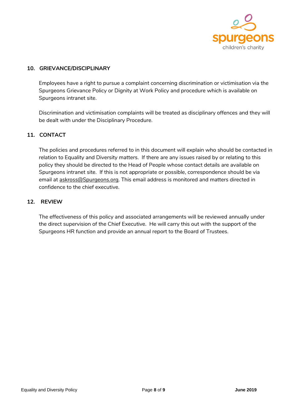

#### <span id="page-7-0"></span> **10. GRIEVANCE/DISCIPLINARY**

Employees have a right to pursue a complaint concerning discrimination or victimisation via the Spurgeons Grievance Policy or Dignity at Work Policy and procedure which is available on Spurgeons intranet site.

Discrimination and victimisation complaints will be treated as disciplinary offences and they will be dealt with under the Disciplinary Procedure.

#### <span id="page-7-1"></span> **11. CONTACT**

The policies and procedures referred to in this document will explain who should be contacted in relation to Equality and Diversity matters. If there are any issues raised by or relating to this policy they should be directed to the Head of People whose contact details are available on Spurgeons intranet site. If this is not appropriate or possible, correspondence should be via email at [askross@Spurgeons.org.](mailto:askross@Spurgeons.org) This email address is monitored and matters directed in confidence to the chief executive.

#### <span id="page-7-2"></span> **12. REVIEW**

The effectiveness of this policy and associated arrangements will be reviewed annually under the direct supervision of the Chief Executive. He will carry this out with the support of the Spurgeons HR function and provide an annual report to the Board of Trustees.